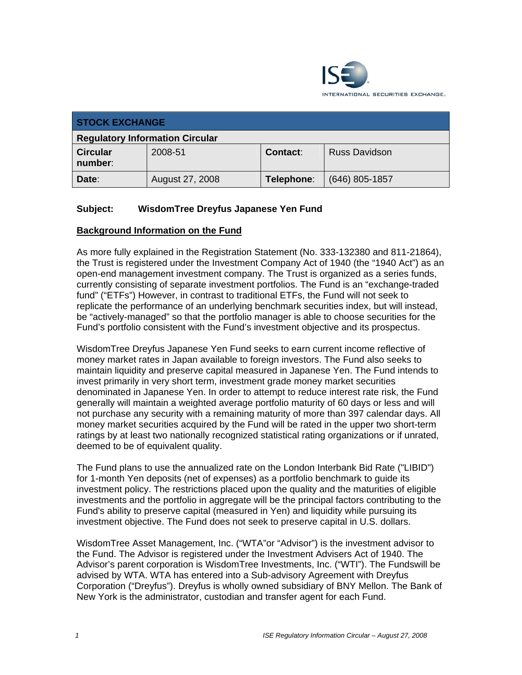

| <b>STOCK EXCHANGE</b>                  |                 |                 |                      |
|----------------------------------------|-----------------|-----------------|----------------------|
| <b>Regulatory Information Circular</b> |                 |                 |                      |
| <b>Circular</b><br>number:             | 2008-51         | <b>Contact:</b> | <b>Russ Davidson</b> |
| Date:                                  | August 27, 2008 | Telephone:      | $(646)$ 805-1857     |

## **Subject: WisdomTree Dreyfus Japanese Yen Fund**

## **Background Information on the Fund**

As more fully explained in the Registration Statement (No. 333-132380 and 811-21864), the Trust is registered under the Investment Company Act of 1940 (the "1940 Act") as an open-end management investment company. The Trust is organized as a series funds, currently consisting of separate investment portfolios. The Fund is an "exchange-traded fund" ("ETFs") However, in contrast to traditional ETFs, the Fund will not seek to replicate the performance of an underlying benchmark securities index, but will instead, be "actively-managed" so that the portfolio manager is able to choose securities for the Fund's portfolio consistent with the Fund's investment objective and its prospectus.

WisdomTree Dreyfus Japanese Yen Fund seeks to earn current income reflective of money market rates in Japan available to foreign investors. The Fund also seeks to maintain liquidity and preserve capital measured in Japanese Yen. The Fund intends to invest primarily in very short term, investment grade money market securities denominated in Japanese Yen. In order to attempt to reduce interest rate risk, the Fund generally will maintain a weighted average portfolio maturity of 60 days or less and will not purchase any security with a remaining maturity of more than 397 calendar days. All money market securities acquired by the Fund will be rated in the upper two short-term ratings by at least two nationally recognized statistical rating organizations or if unrated, deemed to be of equivalent quality.

The Fund plans to use the annualized rate on the London Interbank Bid Rate ("LIBID") for 1-month Yen deposits (net of expenses) as a portfolio benchmark to guide its investment policy. The restrictions placed upon the quality and the maturities of eligible investments and the portfolio in aggregate will be the principal factors contributing to the Fund's ability to preserve capital (measured in Yen) and liquidity while pursuing its investment objective. The Fund does not seek to preserve capital in U.S. dollars.

WisdomTree Asset Management, Inc. ("WTA"or "Advisor") is the investment advisor to the Fund. The Advisor is registered under the Investment Advisers Act of 1940. The Advisor's parent corporation is WisdomTree Investments, Inc. ("WTI"). The Fundswill be advised by WTA. WTA has entered into a Sub-advisory Agreement with Dreyfus Corporation ("Dreyfus"). Dreyfus is wholly owned subsidiary of BNY Mellon. The Bank of New York is the administrator, custodian and transfer agent for each Fund.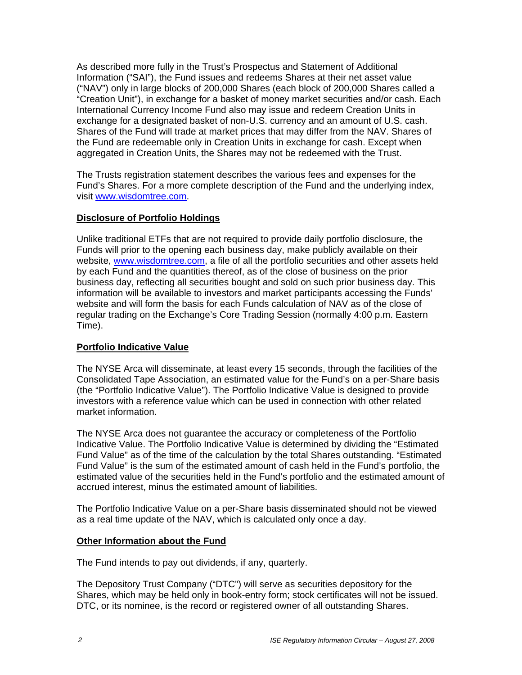As described more fully in the Trust's Prospectus and Statement of Additional Information ("SAI"), the Fund issues and redeems Shares at their net asset value ("NAV") only in large blocks of 200,000 Shares (each block of 200,000 Shares called a "Creation Unit"), in exchange for a basket of money market securities and/or cash. Each International Currency Income Fund also may issue and redeem Creation Units in exchange for a designated basket of non-U.S. currency and an amount of U.S. cash. Shares of the Fund will trade at market prices that may differ from the NAV. Shares of the Fund are redeemable only in Creation Units in exchange for cash. Except when aggregated in Creation Units, the Shares may not be redeemed with the Trust.

The Trusts registration statement describes the various fees and expenses for the Fund's Shares. For a more complete description of the Fund and the underlying index, visit www.wisdomtree.com.

## **Disclosure of Portfolio Holdings**

Unlike traditional ETFs that are not required to provide daily portfolio disclosure, the Funds will prior to the opening each business day, make publicly available on their website, www.wisdomtree.com, a file of all the portfolio securities and other assets held by each Fund and the quantities thereof, as of the close of business on the prior business day, reflecting all securities bought and sold on such prior business day. This information will be available to investors and market participants accessing the Funds' website and will form the basis for each Funds calculation of NAV as of the close of regular trading on the Exchange's Core Trading Session (normally 4:00 p.m. Eastern Time).

## **Portfolio Indicative Value**

The NYSE Arca will disseminate, at least every 15 seconds, through the facilities of the Consolidated Tape Association, an estimated value for the Fund's on a per-Share basis (the "Portfolio Indicative Value"). The Portfolio Indicative Value is designed to provide investors with a reference value which can be used in connection with other related market information.

The NYSE Arca does not guarantee the accuracy or completeness of the Portfolio Indicative Value. The Portfolio Indicative Value is determined by dividing the "Estimated Fund Value" as of the time of the calculation by the total Shares outstanding. "Estimated Fund Value" is the sum of the estimated amount of cash held in the Fund's portfolio, the estimated value of the securities held in the Fund's portfolio and the estimated amount of accrued interest, minus the estimated amount of liabilities.

The Portfolio Indicative Value on a per-Share basis disseminated should not be viewed as a real time update of the NAV, which is calculated only once a day.

#### **Other Information about the Fund**

The Fund intends to pay out dividends, if any, quarterly.

The Depository Trust Company ("DTC") will serve as securities depository for the Shares, which may be held only in book-entry form; stock certificates will not be issued. DTC, or its nominee, is the record or registered owner of all outstanding Shares.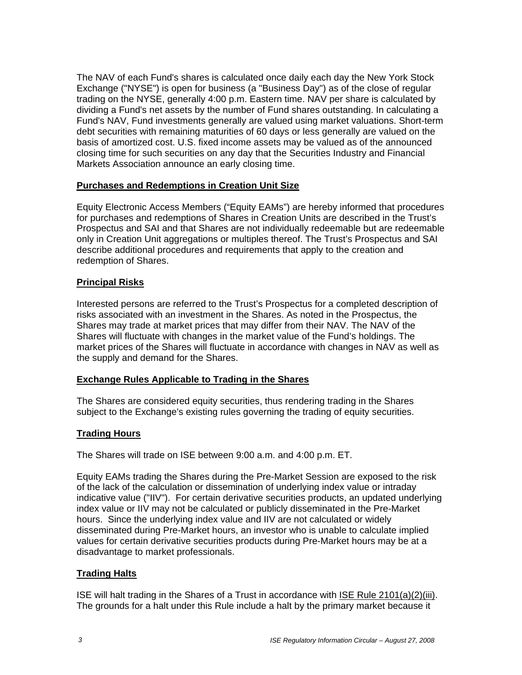The NAV of each Fund's shares is calculated once daily each day the New York Stock Exchange ("NYSE") is open for business (a "Business Day") as of the close of regular trading on the NYSE, generally 4:00 p.m. Eastern time. NAV per share is calculated by dividing a Fund's net assets by the number of Fund shares outstanding. In calculating a Fund's NAV, Fund investments generally are valued using market valuations. Short-term debt securities with remaining maturities of 60 days or less generally are valued on the basis of amortized cost. U.S. fixed income assets may be valued as of the announced closing time for such securities on any day that the Securities Industry and Financial Markets Association announce an early closing time.

## **Purchases and Redemptions in Creation Unit Size**

Equity Electronic Access Members ("Equity EAMs") are hereby informed that procedures for purchases and redemptions of Shares in Creation Units are described in the Trust's Prospectus and SAI and that Shares are not individually redeemable but are redeemable only in Creation Unit aggregations or multiples thereof. The Trust's Prospectus and SAI describe additional procedures and requirements that apply to the creation and redemption of Shares.

## **Principal Risks**

Interested persons are referred to the Trust's Prospectus for a completed description of risks associated with an investment in the Shares. As noted in the Prospectus, the Shares may trade at market prices that may differ from their NAV. The NAV of the Shares will fluctuate with changes in the market value of the Fund's holdings. The market prices of the Shares will fluctuate in accordance with changes in NAV as well as the supply and demand for the Shares.

## **Exchange Rules Applicable to Trading in the Shares**

The Shares are considered equity securities, thus rendering trading in the Shares subject to the Exchange's existing rules governing the trading of equity securities.

## **Trading Hours**

The Shares will trade on ISE between 9:00 a.m. and 4:00 p.m. ET.

Equity EAMs trading the Shares during the Pre-Market Session are exposed to the risk of the lack of the calculation or dissemination of underlying index value or intraday indicative value ("IIV"). For certain derivative securities products, an updated underlying index value or IIV may not be calculated or publicly disseminated in the Pre-Market hours. Since the underlying index value and IIV are not calculated or widely disseminated during Pre-Market hours, an investor who is unable to calculate implied values for certain derivative securities products during Pre-Market hours may be at a disadvantage to market professionals.

## **Trading Halts**

ISE will halt trading in the Shares of a Trust in accordance with ISE Rule 2101(a)(2)(iii). The grounds for a halt under this Rule include a halt by the primary market because it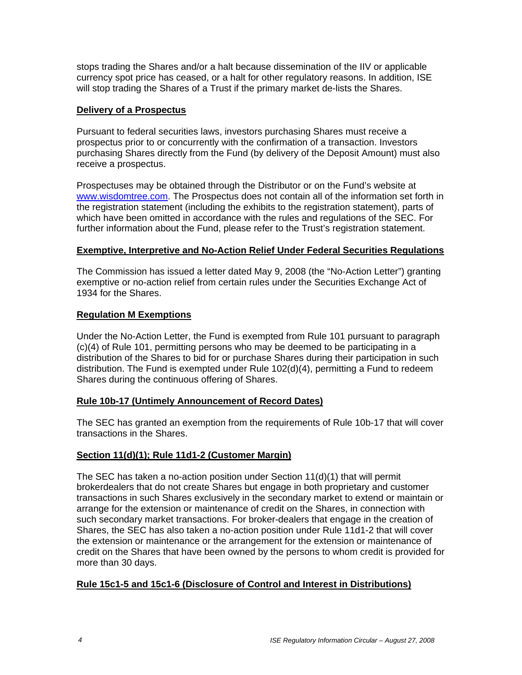stops trading the Shares and/or a halt because dissemination of the IIV or applicable currency spot price has ceased, or a halt for other regulatory reasons. In addition, ISE will stop trading the Shares of a Trust if the primary market de-lists the Shares.

## **Delivery of a Prospectus**

Pursuant to federal securities laws, investors purchasing Shares must receive a prospectus prior to or concurrently with the confirmation of a transaction. Investors purchasing Shares directly from the Fund (by delivery of the Deposit Amount) must also receive a prospectus.

Prospectuses may be obtained through the Distributor or on the Fund's website at www.wisdomtree.com. The Prospectus does not contain all of the information set forth in the registration statement (including the exhibits to the registration statement), parts of which have been omitted in accordance with the rules and regulations of the SEC. For further information about the Fund, please refer to the Trust's registration statement.

## **Exemptive, Interpretive and No-Action Relief Under Federal Securities Regulations**

The Commission has issued a letter dated May 9, 2008 (the "No-Action Letter") granting exemptive or no-action relief from certain rules under the Securities Exchange Act of 1934 for the Shares.

## **Regulation M Exemptions**

Under the No-Action Letter, the Fund is exempted from Rule 101 pursuant to paragraph (c)(4) of Rule 101, permitting persons who may be deemed to be participating in a distribution of the Shares to bid for or purchase Shares during their participation in such distribution. The Fund is exempted under Rule 102(d)(4), permitting a Fund to redeem Shares during the continuous offering of Shares.

## **Rule 10b-17 (Untimely Announcement of Record Dates)**

The SEC has granted an exemption from the requirements of Rule 10b-17 that will cover transactions in the Shares.

## **Section 11(d)(1); Rule 11d1-2 (Customer Margin)**

The SEC has taken a no-action position under Section 11(d)(1) that will permit brokerdealers that do not create Shares but engage in both proprietary and customer transactions in such Shares exclusively in the secondary market to extend or maintain or arrange for the extension or maintenance of credit on the Shares, in connection with such secondary market transactions. For broker-dealers that engage in the creation of Shares, the SEC has also taken a no-action position under Rule 11d1-2 that will cover the extension or maintenance or the arrangement for the extension or maintenance of credit on the Shares that have been owned by the persons to whom credit is provided for more than 30 days.

## **Rule 15c1-5 and 15c1-6 (Disclosure of Control and Interest in Distributions)**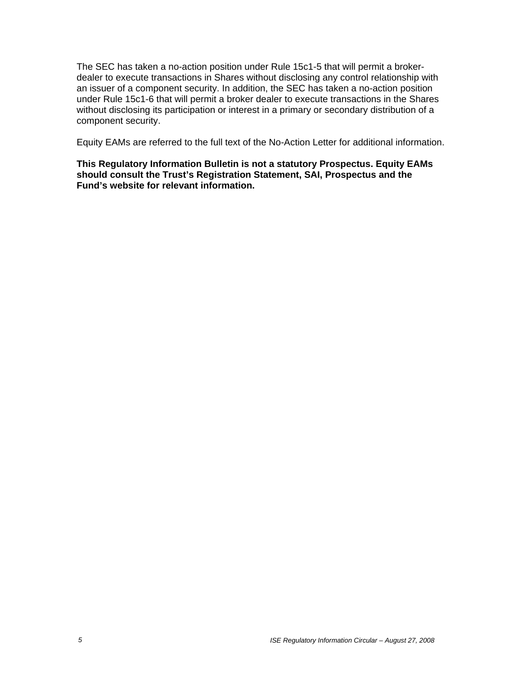The SEC has taken a no-action position under Rule 15c1-5 that will permit a brokerdealer to execute transactions in Shares without disclosing any control relationship with an issuer of a component security. In addition, the SEC has taken a no-action position under Rule 15c1-6 that will permit a broker dealer to execute transactions in the Shares without disclosing its participation or interest in a primary or secondary distribution of a component security.

Equity EAMs are referred to the full text of the No-Action Letter for additional information.

**This Regulatory Information Bulletin is not a statutory Prospectus. Equity EAMs should consult the Trust's Registration Statement, SAI, Prospectus and the Fund's website for relevant information.**